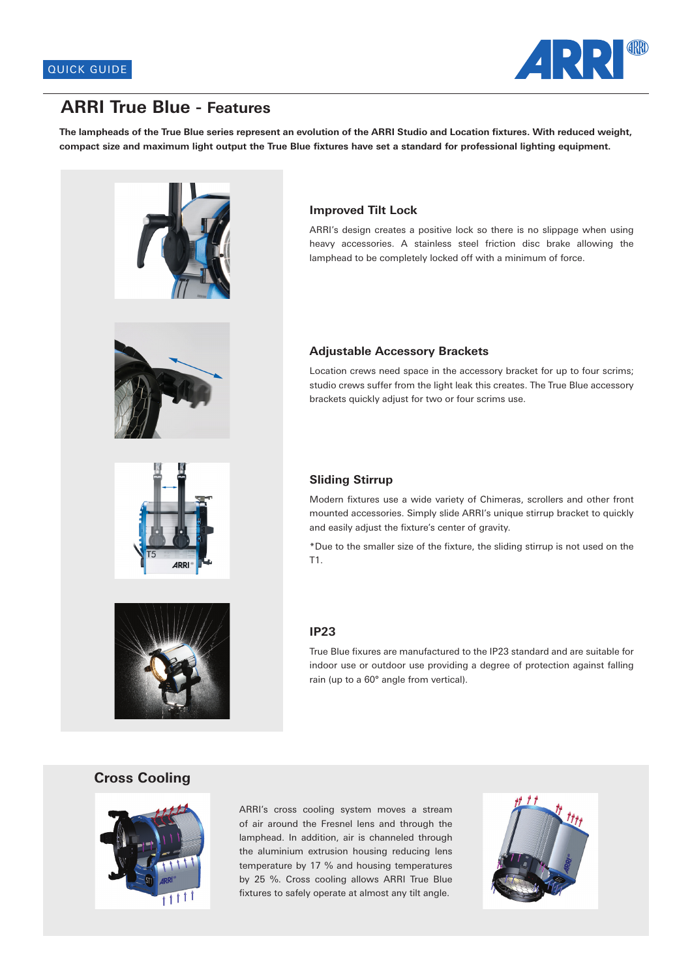

## **ARRI True Blue - Features**

**The lampheads of the True Blue series represent an evolution of the ARRI Studio and Location fixtures. With reduced weight, compact size and maximum light output the True Blue fixtures have set a standard for professional lighting equipment.**





### **Improved Tilt Lock**

ARRI's design creates a positive lock so there is no slippage when using heavy accessories. A stainless steel friction disc brake allowing the lamphead to be completely locked off with a minimum of force.

#### **Adjustable Accessory Brackets**

Location crews need space in the accessory bracket for up to four scrims; studio crews suffer from the light leak this creates. The True Blue accessory brackets quickly adjust for two or four scrims use.

#### **Sliding Stirrup**

Modern fixtures use a wide variety of Chimeras, scrollers and other front mounted accessories. Simply slide ARRI's unique stirrup bracket to quickly and easily adjust the fixture's center of gravity.

\*Due to the smaller size of the fixture, the sliding stirrup is not used on the T1.

## **IP23**

True Blue fixures are manufactured to the IP23 standard and are suitable for indoor use or outdoor use providing a degree of protection against falling rain (up to a 60° angle from vertical).

#### **Cross Cooling**



ARRI's cross cooling system moves a stream of air around the Fresnel lens and through the lamphead. In addition, air is channeled through the aluminium extrusion housing reducing lens temperature by 17 % and housing temperatures by 25 %. Cross cooling allows ARRI True Blue fixtures to safely operate at almost any tilt angle.